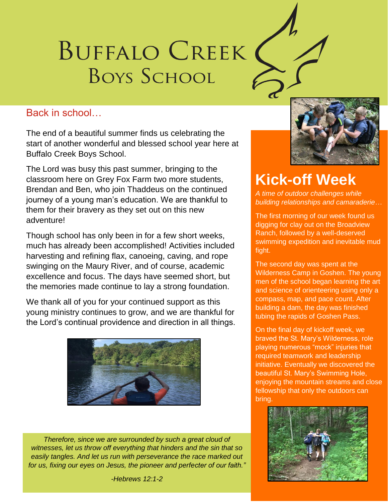# BUFFALO CREEK **BOYS SCHOOL**

#### Back in school…

The end of a beautiful summer finds us celebrating the start of another wonderful and blessed school year here at Buffalo Creek Boys School.

The Lord was busy this past summer, bringing to the classroom here on Grey Fox Farm two more students, Brendan and Ben, who join Thaddeus on the continued journey of a young man's education. We are thankful to them for their bravery as they set out on this new adventure!

Though school has only been in for a few short weeks, much has already been accomplished! Activities included harvesting and refining flax, canoeing, caving, and rope swinging on the Maury River, and of course, academic excellence and focus. The days have seemed short, but the memories made continue to lay a strong foundation.

We thank all of you for your continued support as this young ministry continues to grow, and we are thankful for the Lord's continual providence and direction in all things.



*Therefore, since we are surrounded by such a great cloud of witnesses, let us throw off everything that hinders and the sin that so easily tangles. And let us run with perseverance the race marked out for us, fixing our eyes on Jesus, the pioneer and perfecter of our faith."*



## **Kick-off Week**

*A time of outdoor challenges while building relationships and camaraderie…*

The first morning of our week found us digging for clay out on the Broadview Ranch, followed by a well-deserved swimming expedition and inevitable mud fight.

The second day was spent at the Wilderness Camp in Goshen. The young men of the school began learning the art and science of orienteering using only a compass, map, and pace count. After building a dam, the day was finished tubing the rapids of Goshen Pass.

On the final day of kickoff week, we braved the St. Mary's Wilderness, role playing numerous "mock" injuries that required teamwork and leadership initiative. Eventually we discovered the beautiful St. Mary's Swimming Hole, enjoying the mountain streams and close fellowship that only the outdoors can bring.



*-Hebrews 12:1-2*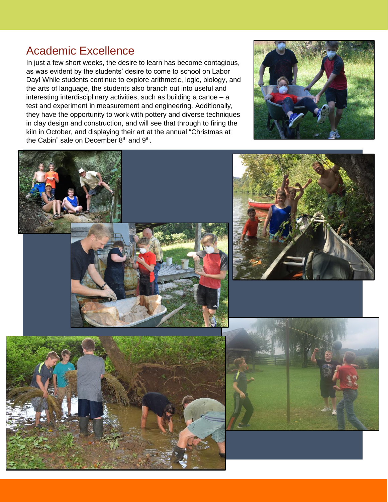## Academic Excellence

In just a few short weeks, the desire to learn has become contagious, as was evident by the students' desire to come to school on Labor Day! While students continue to explore arithmetic, logic, biology, and the arts of language, the students also branch out into useful and interesting interdisciplinary activities, such as building a canoe – a test and experiment in measurement and engineering. Additionally, they have the opportunity to work with pottery and diverse techniques in clay design and construction, and will see that through to firing the kiln in October, and displaying their art at the annual "Christmas at the Cabin" sale on December 8<sup>th</sup> and 9<sup>th</sup>.